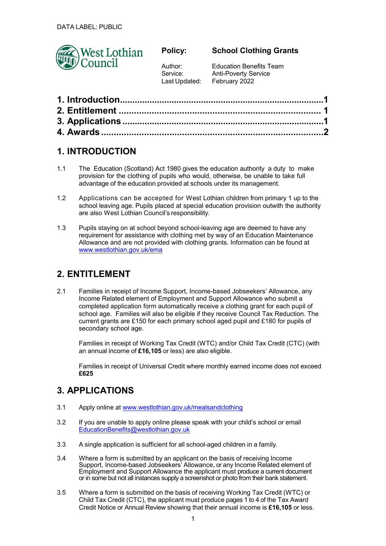

### **Policy:**

**School Clothing Grants**

Author: Service: Last Updated:

Education Benefits Team Anti-Poverty Service February 2022

## **1. INTRODUCTION**

- 1.1 The Education (Scotland) Act 1980 gives the education authority a duty to make provision for the clothing of pupils who would, otherwise, be unable to take full advantage of the education provided at schools under its management.
- 1.2 Applications can be accepted for West Lothian children from primary 1 up to the school leaving age. Pupils placed at special education provision outwith the authority are also West Lothian Council's responsibility.
- 1.3 Pupils staying on at school beyond school-leaving age are deemed to have any requirement for assistance with clothing met by way of an Education Maintenance Allowance and are not provided with clothing grants. Information can be found at www.westlothian.gov.uk/ema

# **2. ENTITLEMENT**

2.1 Families in receipt of Income Support, Income-based Jobseekers' Allowance, any Income Related element of Employment and Support Allowance who submit a completed application form automatically receive a clothing grant for each pupil of school age. Families will also be eligible if they receive Council Tax Reduction. The current grants are £150 for each primary school aged pupil and £180 for pupils of secondary school age.

Families in receipt of Working Tax Credit (WTC) and/or Child Tax Credit (CTC) (with an annual income of **£16,105** or less) are also eligible.

Families in receipt of Universal Credit where monthly earned income does not exceed **£625**

# **3. APPLICATIONS**

- 3.1 Apply online at www.westlothian.gov.uk/mealsandclothing
- 3.2 If you are unable to apply online please speak with your child's school or email EducationBenefits@westlothian.gov.uk
- 3.3 A single application is sufficient for all school-aged children in a family.
- 3.4 Where a form is submitted by an applicant on the basis of receiving Income Support, Income-based Jobseekers' Allowance, or any Income Related element of Employment and Support Allowance the applicant must produce a current document or in some but not all instances supply a screenshot or photo from their bank statement.
- 3.5 Where a form is submitted on the basis of receiving Working Tax Credit (WTC) or Child Tax Credit (CTC), the applicant must produce pages 1 to 4 of the Tax Award Credit Notice or Annual Review showing that their annual income is **£16,105** or less.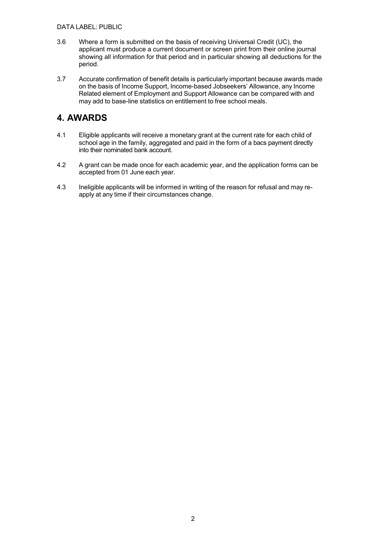#### DATA LABEL: PUBLIC

- 3.6 Where a form is submitted on the basis of receiving Universal Credit (UC), the applicant must produce a current document or screen print from their online journal showing all information for that period and in particular showing all deductions for the period.
- 3.7 Accurate confirmation of benefit details is particularly important because awards made on the basis of Income Support, Income-based Jobseekers' Allowance, any Income Related element of Employment and Support Allowance can be compared with and may add to base-line statistics on entitlement to free school meals.

### **4. AWARDS**

- 4.1 Eligible applicants will receive a monetary grant at the current rate for each child of school age in the family, aggregated and paid in the form of a bacs payment directly into their nominated bank account.
- 4.2 A grant can be made once for each academic year, and the application forms can be accepted from 01 June each year.
- 4.3 Ineligible applicants will be informed in writing of the reason for refusal and may reapply at any time if their circumstances change.